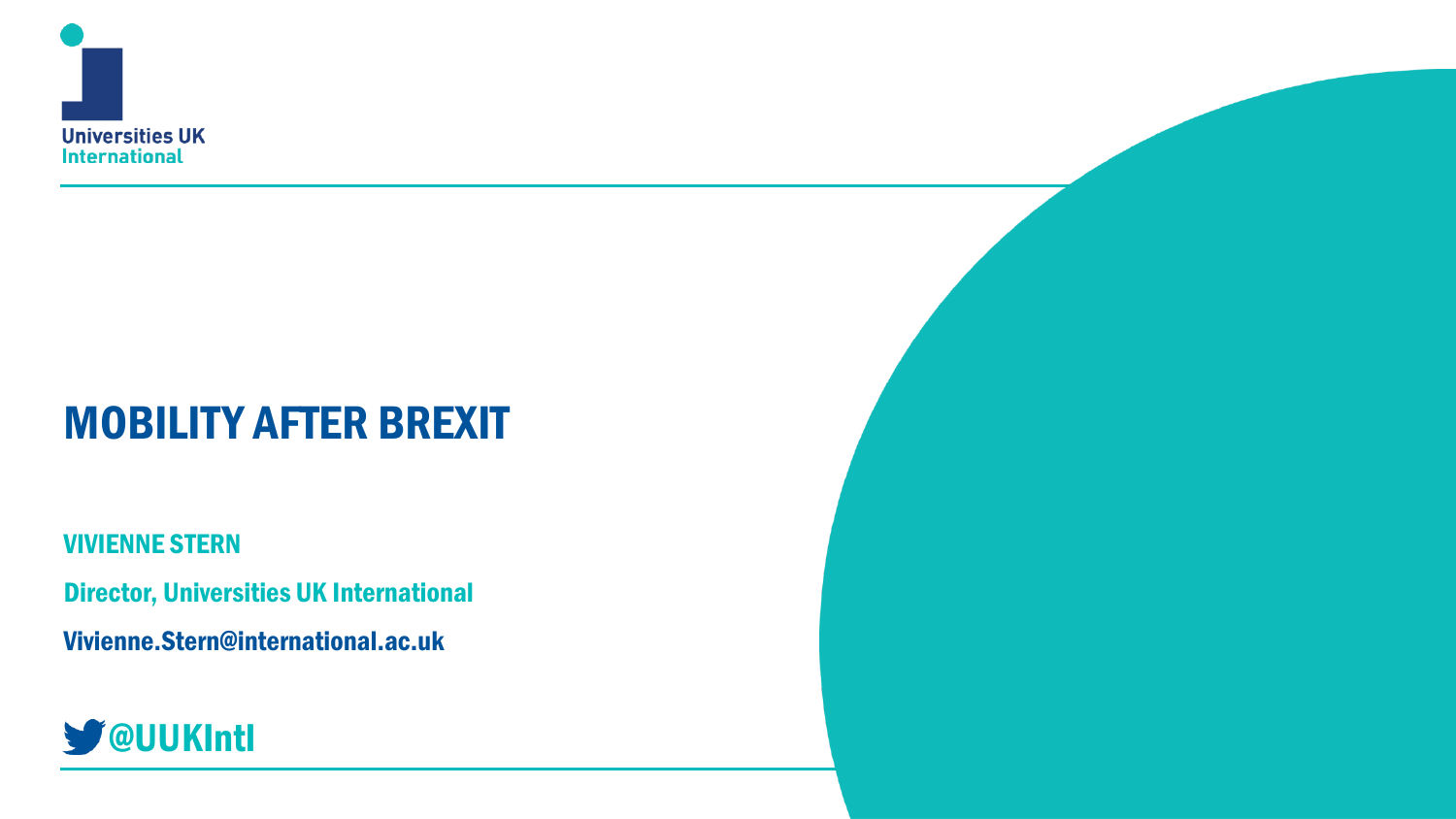

## MOBILITY AFTER BREXIT

VIVIENNE STERN

Director, Universities UK International

Vivienne.Stern@international.ac.uk

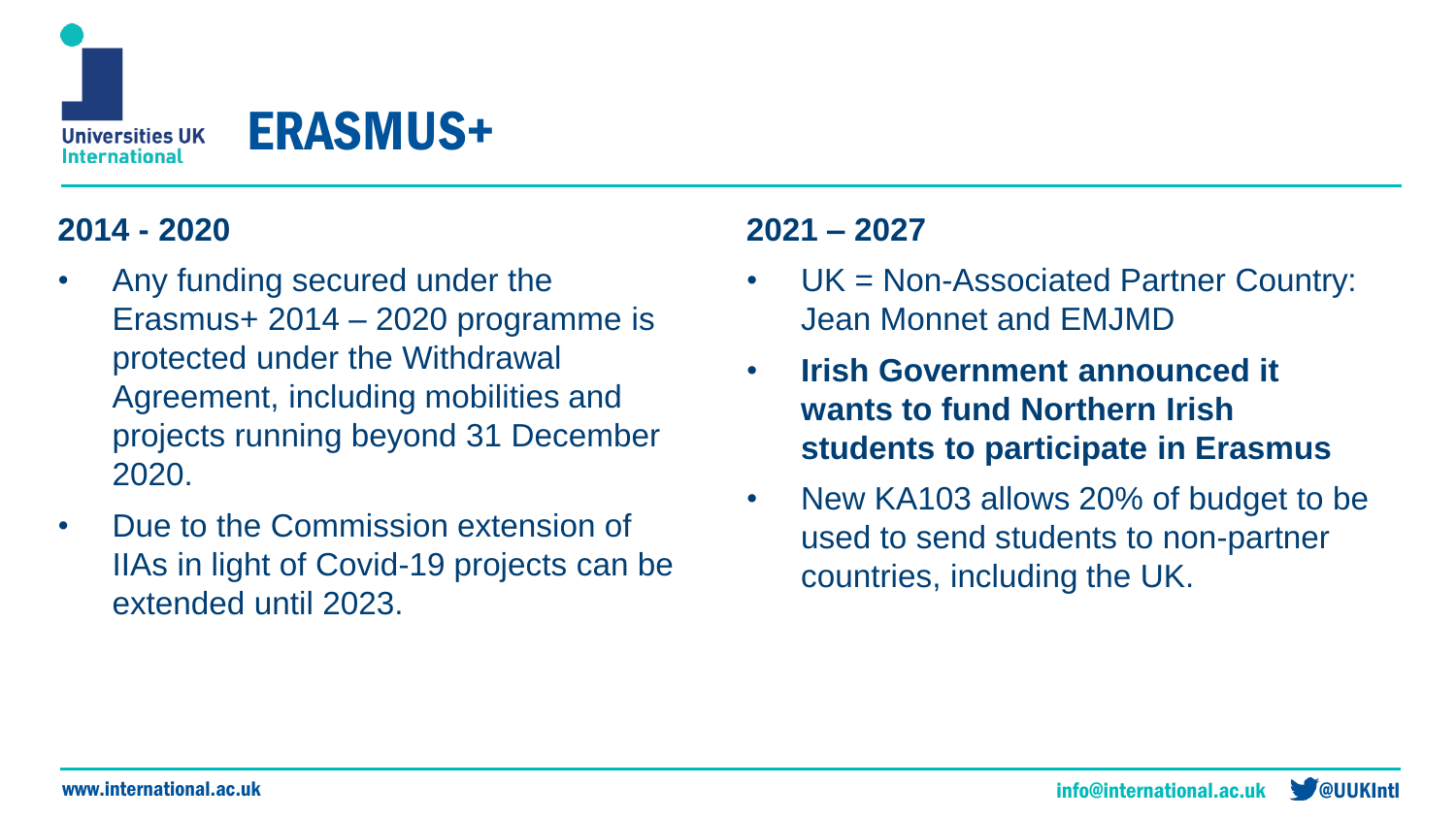

### **2014 - 2020**

- Any funding secured under the Erasmus+ 2014 – 2020 programme is protected under the Withdrawal Agreement, including mobilities and projects running beyond 31 December 2020.
- Due to the Commission extension of IIAs in light of Covid-19 projects can be extended until 2023.

### **2021 – 2027**

- UK = Non-Associated Partner Country: Jean Monnet and EMJMD
- **Irish Government announced it wants to fund Northern Irish students to participate in Erasmus**
- New KA103 allows 20% of budget to be used to send students to non-partner countries, including the UK.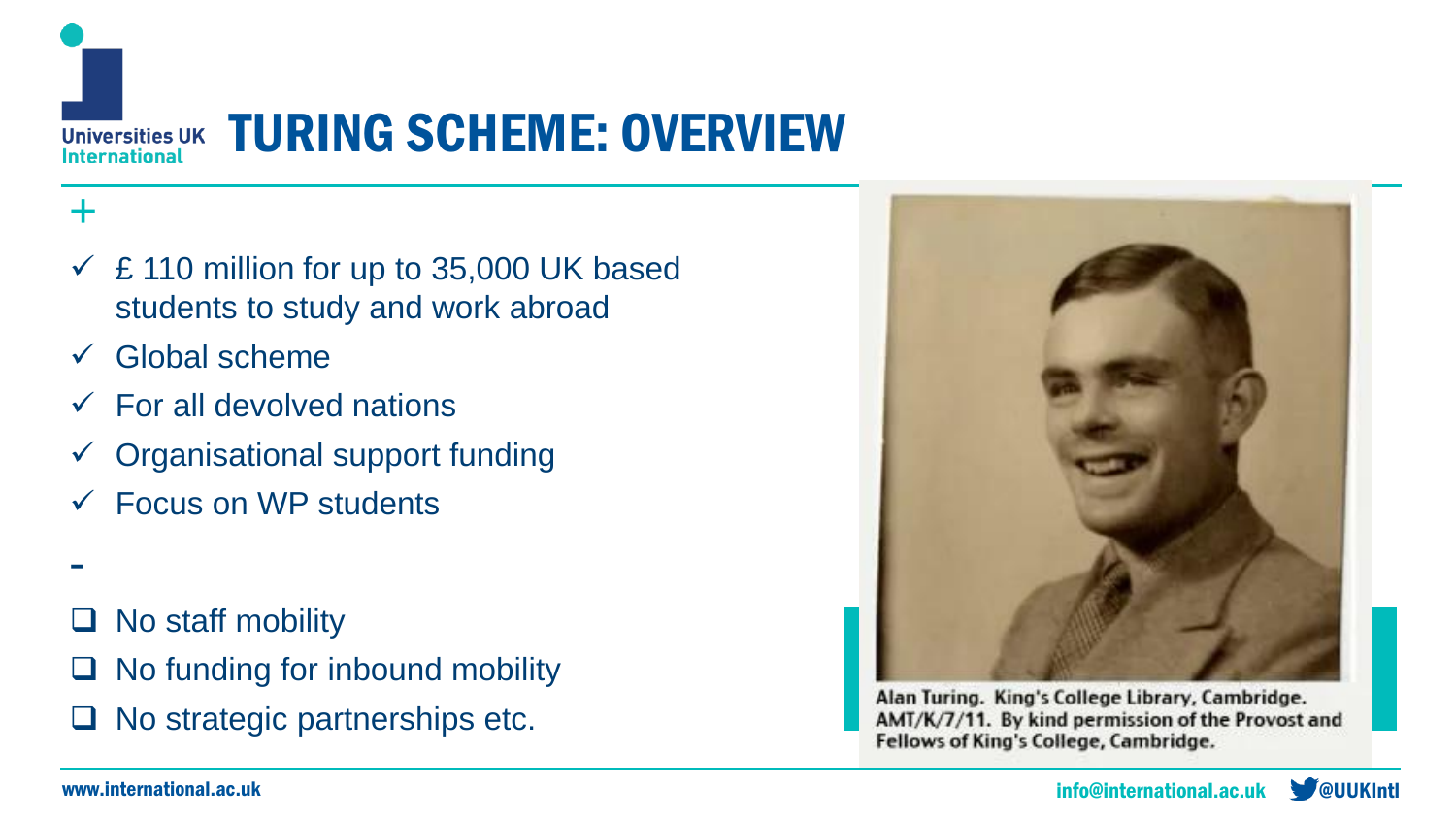

### +

- $\leq$  £ 110 million for up to 35,000 UK based students to study and work abroad
- $\checkmark$  Global scheme
- $\checkmark$  For all devolved nations
- $\checkmark$  Organisational support funding
- $\checkmark$  Focus on WP students
- -
- ❑ No staff mobility
- $\Box$  No funding for inbound mobility
- ❑ No strategic partnerships etc.



Alan Turing. King's College Library, Cambridge. AMT/K/7/11. By kind permission of the Provost and Fellows of King's College, Cambridge.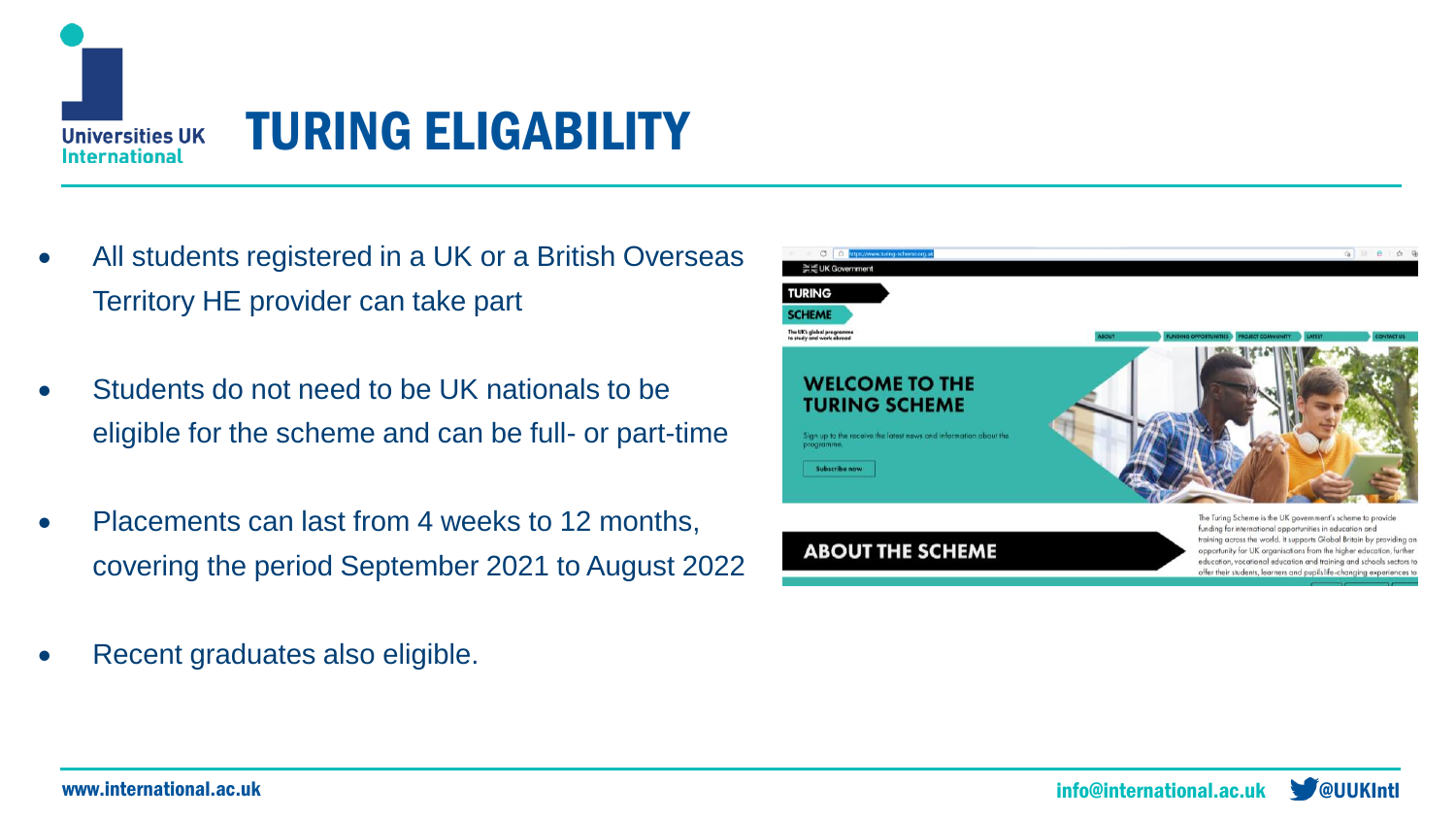

## TURING ELIGABILITY

- All students registered in a UK or a British Overseas Territory HE provider can take part
- Students do not need to be UK nationals to be eligible for the scheme and can be full- or part-time
- Placements can last from 4 weeks to 12 months, covering the period September 2021 to August 2022
- Recent graduates also eligible.

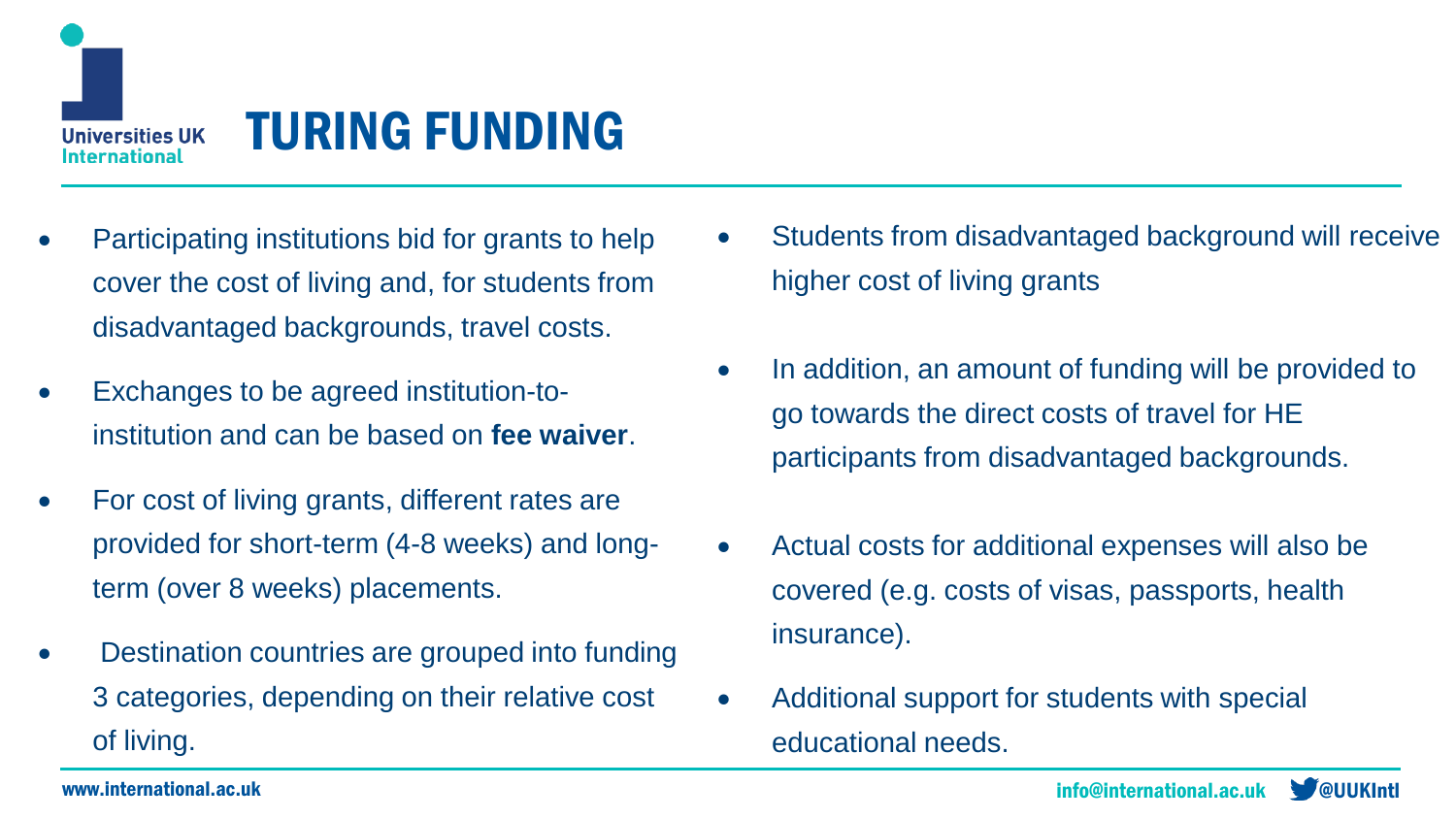

### TURING FUNDING

- Participating institutions bid for grants to help cover the cost of living and, for students from disadvantaged backgrounds, travel costs.
- Exchanges to be agreed institution-toinstitution and can be based on **fee waiver**.
- For cost of living grants, different rates are provided for short-term (4-8 weeks) and longterm (over 8 weeks) placements.
- Destination countries are grouped into funding 3 categories, depending on their relative cost of living.
- Students from disadvantaged background will receive higher cost of living grants
- In addition, an amount of funding will be provided to go towards the direct costs of travel for HE participants from disadvantaged backgrounds.
- Actual costs for additional expenses will also be covered (e.g. costs of visas, passports, health insurance).
- Additional support for students with special educational needs.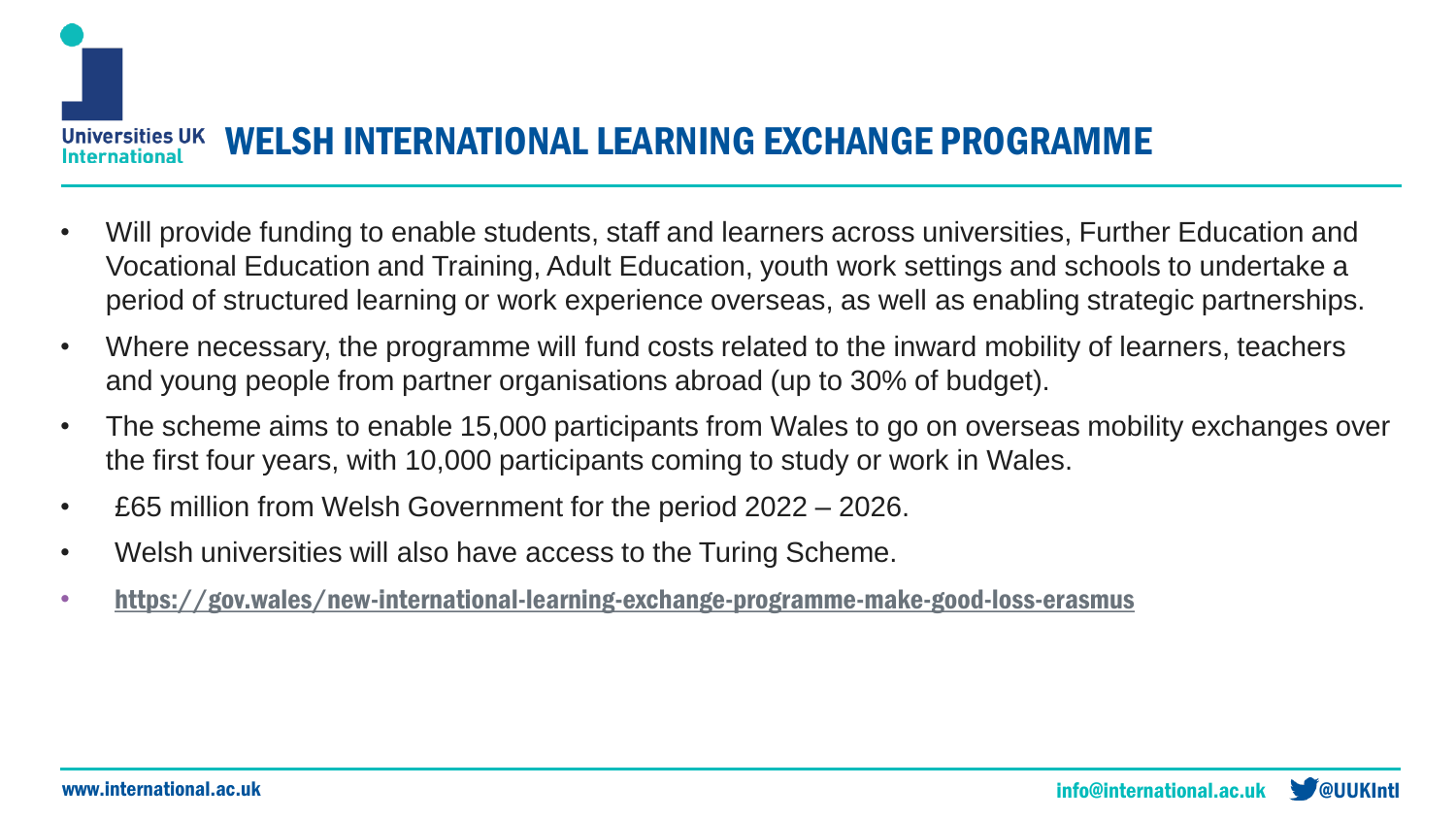**Universities UK** WELSH INTERNATIONAL LEARNING EXCHANGE PROGRAMME **ternational** 

- Will provide funding to enable students, staff and learners across universities, Further Education and Vocational Education and Training, Adult Education, youth work settings and schools to undertake a period of structured learning or work experience overseas, as well as enabling strategic partnerships.
- Where necessary, the programme will fund costs related to the inward mobility of learners, teachers and young people from partner organisations abroad (up to 30% of budget).
- The scheme aims to enable 15,000 participants from Wales to go on overseas mobility exchanges over the first four years, with 10,000 participants coming to study or work in Wales.
- £65 million from Welsh Government for the period 2022 2026.
- Welsh universities will also have access to the Turing Scheme.
- <https://gov.wales/new-international-learning-exchange-programme-make-good-loss-erasmus>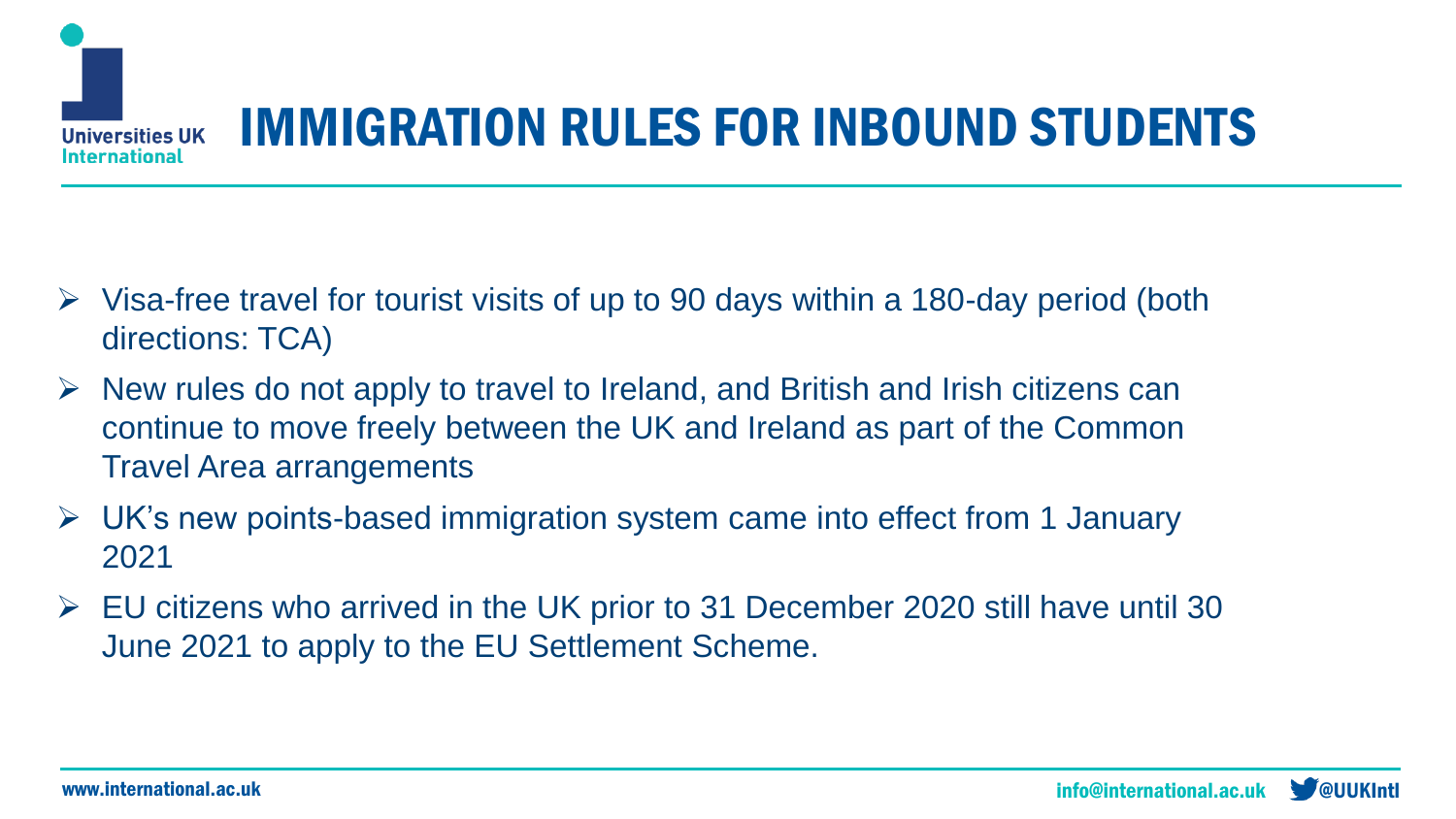

## IMMIGRATION RULES FOR INBOUND STUDENTS

- $\triangleright$  Visa-free travel for tourist visits of up to 90 days within a 180-day period (both directions: TCA)
- $\triangleright$  New rules do not apply to travel to Ireland, and British and Irish citizens can continue to move freely between the UK and Ireland as part of the Common Travel Area arrangements
- ➢ UK's new points-based immigration system came into effect from 1 January 2021
- $\triangleright$  EU citizens who arrived in the UK prior to 31 December 2020 still have until 30 June 2021 to apply to the EU Settlement Scheme.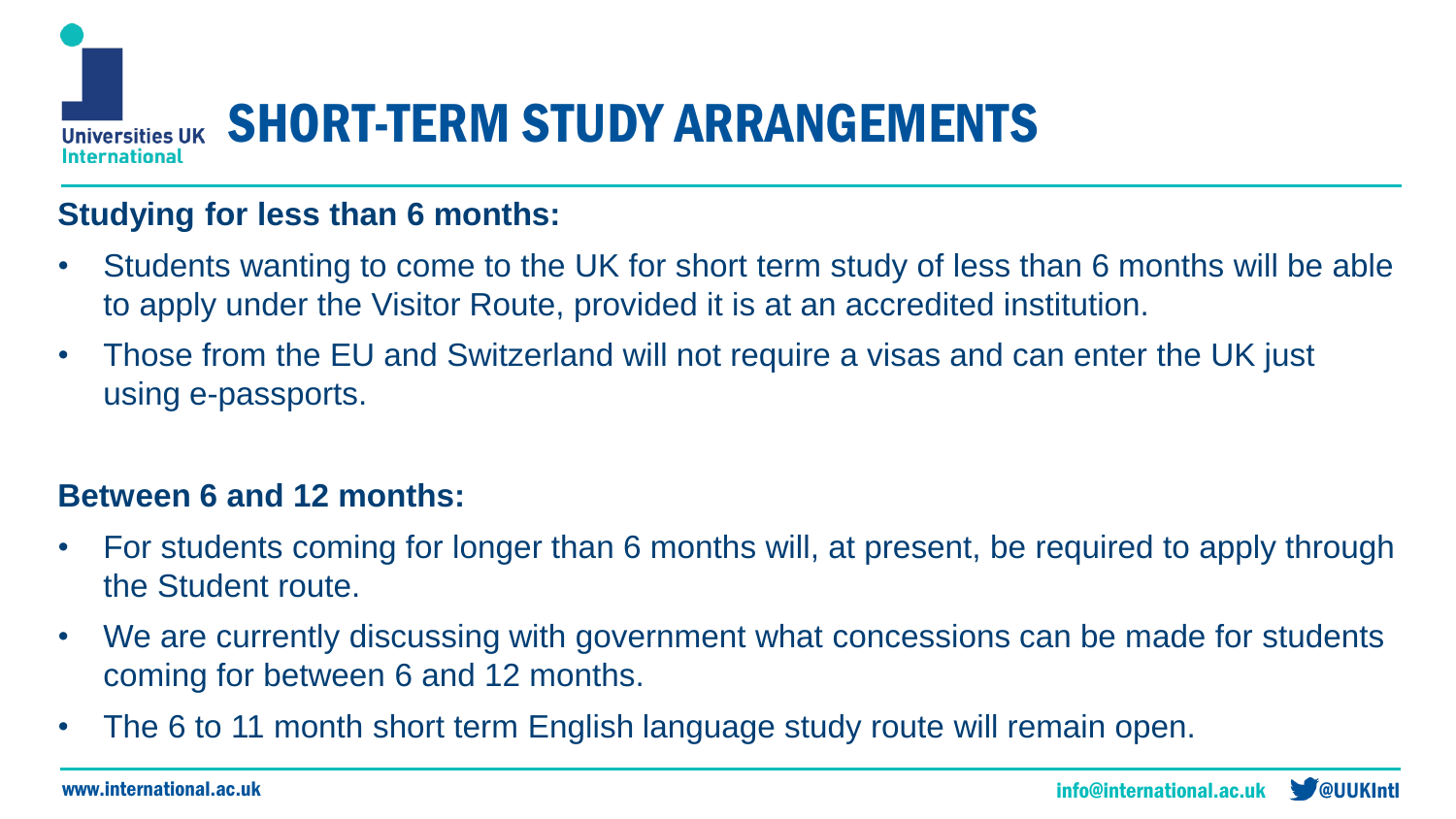

#### **Studying for less than 6 months:**

- Students wanting to come to the UK for short term study of less than 6 months will be able to apply under the Visitor Route, provided it is at an accredited institution.
- Those from the EU and Switzerland will not require a visas and can enter the UK just using e-passports.

### **Between 6 and 12 months:**

- For students coming for longer than 6 months will, at present, be required to apply through the Student route.
- We are currently discussing with government what concessions can be made for students coming for between 6 and 12 months.
- The 6 to 11 month short term English language study route will remain open.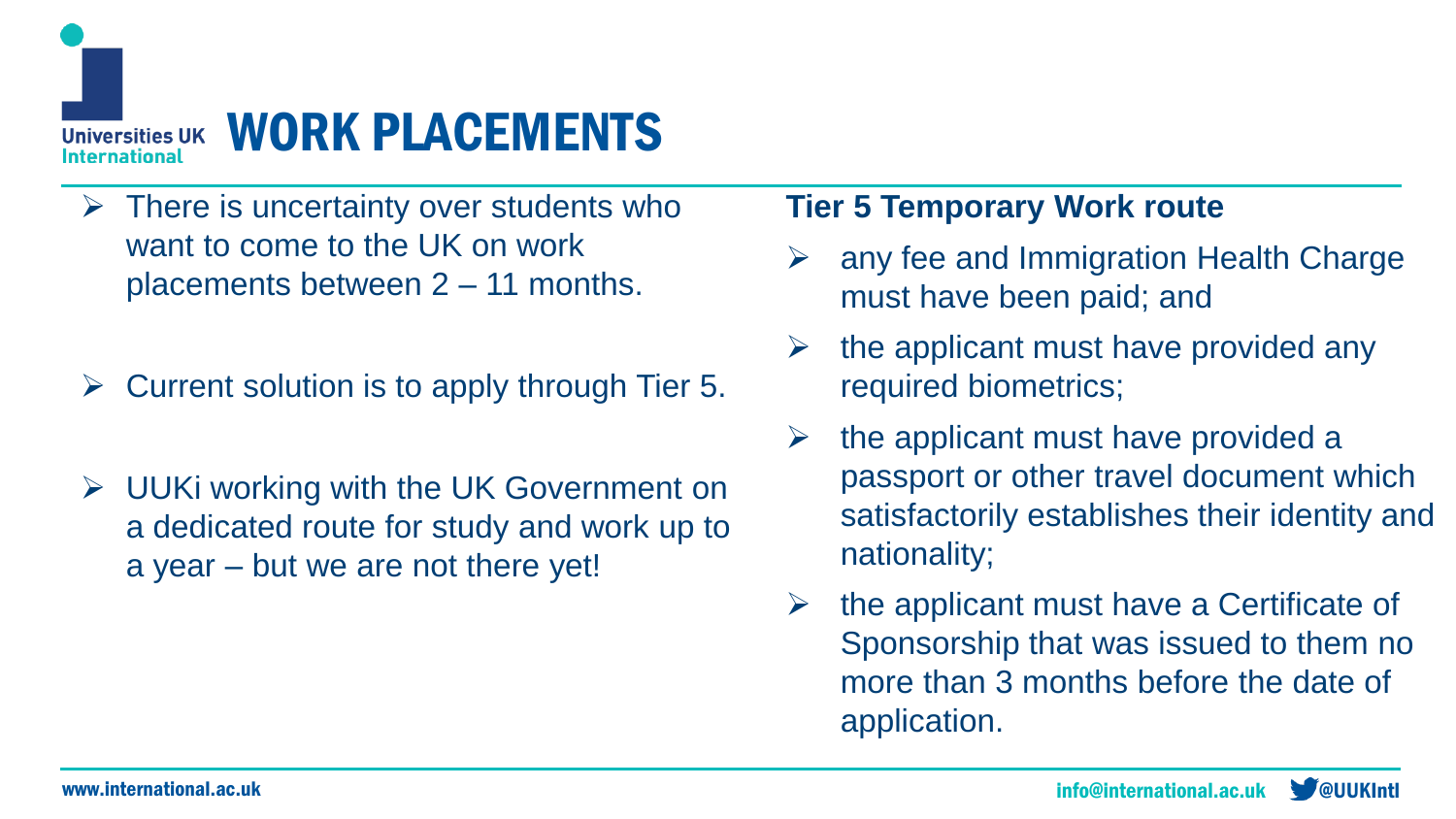

- $\triangleright$  There is uncertainty over students who want to come to the UK on work placements between 2 – 11 months.
- $\triangleright$  Current solution is to apply through Tier 5.
- ➢ UUKi working with the UK Government on a dedicated route for study and work up to a year – but we are not there yet!

### **Tier 5 Temporary Work route**

- ➢ any fee and Immigration Health Charge must have been paid; and
- the applicant must have provided any required biometrics;
- the applicant must have provided a passport or other travel document which satisfactorily establishes their identity and nationality;
- $\triangleright$  the applicant must have a Certificate of Sponsorship that was issued to them no more than 3 months before the date of application.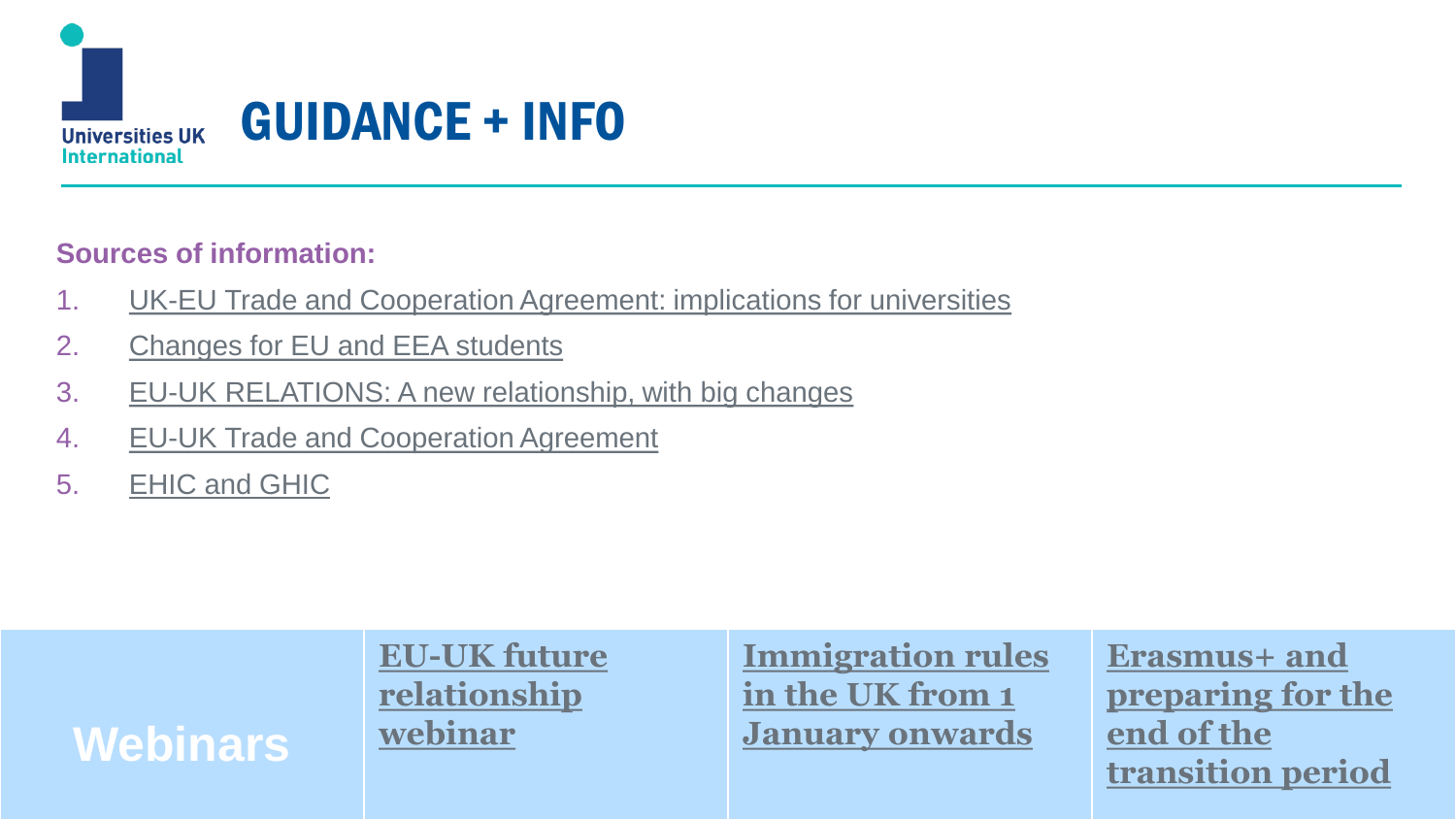

#### **Sources of information:**

- 1. [UK-EU Trade and Cooperation Agreement: implications for universities](https://www.universitiesuk.ac.uk/policy-and-analysis/brexit/Pages/uk-eu-agreement.aspx)
- 2. [Changes for EU and EEA students](https://www.universitiesuk.ac.uk/policy-and-analysis/brexit/Pages/brexit-student-faqs.aspx)
- 3. [EU-UK RELATIONS: A new relationship, with big changes](https://ec.europa.eu/info/sites/info/files/eu-uk_trade_and_cooperation_agreement-a_new_relationship_with_big_changes-overview_of_consequences_and_benefits.pdf)
- 4. [EU-UK Trade and Cooperation Agreement](https://ec.europa.eu/info/sites/info/files/eu-uk_trade_and_cooperation_agreement-a_new_relationship_with_big_changes-brochure.pdf)
- 5. [EHIC and GHIC](https://www.nhs.uk/using-the-nhs/healthcare-abroad/apply-for-a-free-uk-global-health-insurance-card-ghic/)

**Webinars**

**[EU-UK future](https://www.universitiesuk.ac.uk/events/Pages/UUKi-Brexit-webinar-series.aspx)  relationship webinar**

**[Immigration rules](https://www.youtube.com/watch?v=ZcgmDnrNSZo)  in the UK from 1 January onwards**

www.international.ac.uk international.ac.uk international.ac.uk info@international.ac.uk <mark>acametational.ac.uk in</mark> **Erasmus+ and [preparing for the](https://www.youtube.com/watch?v=gORxT5jL1lo)  end of the transition period**